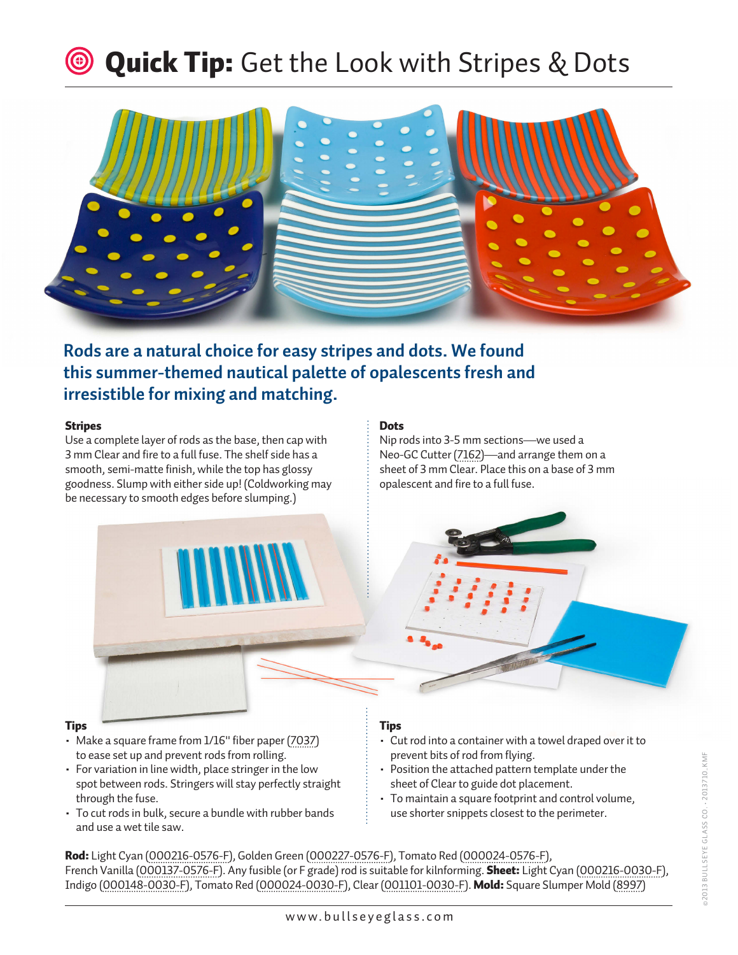## **Waick Tip:** Get the Look with Stripes & Dots



**Rods are a natural choice for easy stripes and dots. We found this summer-themed nautical palette of opalescents fresh and irresistible for mixing and matching.**

## Stripes

Use a complete layer of rods as the base, then cap with 3 mm Clear and fire to a full fuse. The shelf side has a smooth, semi-matte finish, while the top has glossy goodness. Slump with either side up! (Coldworking may be necessary to smooth edges before slumping.)

## **Dots**

Nip rods into 3-5 mm sections—we used a Neo-GC Cutter [\(7162\)](http://shop.bullseyeglass.com/neo-gc-cutter.html)—and arrange them on a sheet of 3 mm Clear. Place this on a base of 3 mm opalescent and fire to a full fuse.



Tips

- Make a square frame from 1/16" fiber paper [\(7037\)](http://shop.bullseyeglass.com/fiber-paper-1-16-thin-x-24-wide.html)
- to ease set up and prevent rods from rolling.
- For variation in line width, place stringer in the low spot between rods. Stringers will stay perfectly straight through the fuse.
- To cut rods in bulk, secure a bundle with rubber bands and use a wet tile saw.

## Tips

- Cut rod into a container with a towel draped over it to prevent bits of rod from flying.
- Position the attached pattern template under the sheet of Clear to guide dot placement.
- To maintain a square footprint and control volume, use shorter snippets closest to the perimeter.

Rod: Light Cyan ([000216-0576-F\)](http://shop.bullseyeglass.com/catalogsearch/result/?q=000216-0576-F), Golden Green [\(000227-0576-F](http://shop.bullseyeglass.com/catalogsearch/result/?q=000227-0576-F)), Tomato Red [\(000024-0576-F\)](http://shop.bullseyeglass.com/catalogsearch/result/?q=000024-0576-F), French Vanilla ([000137-0576-F\)](http://shop.bullseyeglass.com/catalogsearch/result/?q=000137-0576-F). Any fusible (or F grade) rod is suitable for kilnforming. Sheet: Light Cyan [\(000216-0030-F](http://shop.bullseyeglass.com/catalogsearch/result/?q=000216-0030-F)), Indigo [\(000148-0030-F](shop.bullseyeglass.com/catalogsearch/result/?q=000148-0030-F)), Tomato Red [\(000024-0030-F\)](shop.bullseyeglass.com/catalogsearch/result/?q=000024-0030-F), Clear [\(001101-0030-F\)](shop.bullseyeglass.com/catalogsearch/result/?q=001101-0030-F). Mold: Square Slumper Mold ([8997\)](http://shop.bullseyeglass.com/square-slumper-b-5-375-in-137-mm-slumping-mold.html)